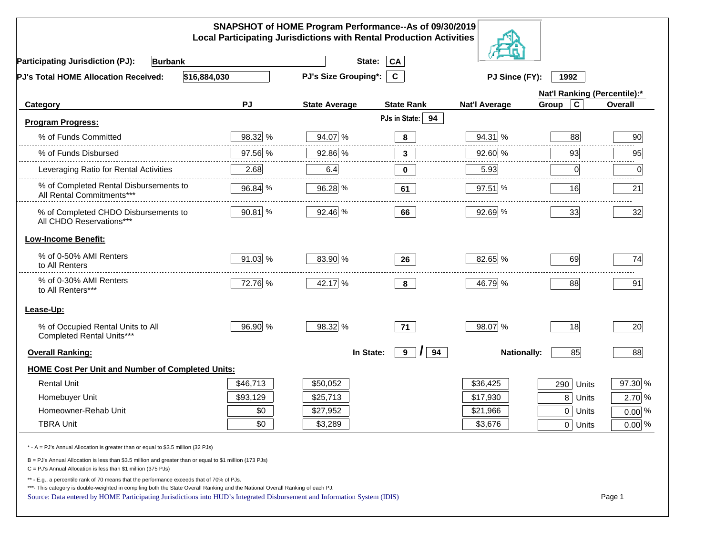|                                                                                                                                                                                                                                                                                                                                                          |          | SNAPSHOT of HOME Program Performance--As of 09/30/2019<br><b>Local Participating Jurisdictions with Rental Production Activities</b> |                              |                      |                         |          |
|----------------------------------------------------------------------------------------------------------------------------------------------------------------------------------------------------------------------------------------------------------------------------------------------------------------------------------------------------------|----------|--------------------------------------------------------------------------------------------------------------------------------------|------------------------------|----------------------|-------------------------|----------|
| <b>Participating Jurisdiction (PJ):</b><br><b>Burbank</b>                                                                                                                                                                                                                                                                                                |          | State:                                                                                                                               | CA                           |                      |                         |          |
| \$16,884,030<br>PJ's Total HOME Allocation Received:                                                                                                                                                                                                                                                                                                     |          | <b>PJ's Size Grouping*:</b>                                                                                                          | $\mathbf{C}$                 | PJ Since (FY):       | 1992                    |          |
|                                                                                                                                                                                                                                                                                                                                                          |          |                                                                                                                                      | Nat'l Ranking (Percentile):* |                      |                         |          |
| Category                                                                                                                                                                                                                                                                                                                                                 | PJ       | <b>State Average</b>                                                                                                                 | <b>State Rank</b>            | <b>Nat'l Average</b> | $\mathbf c$<br>Group    | Overall  |
| <b>Program Progress:</b>                                                                                                                                                                                                                                                                                                                                 |          |                                                                                                                                      | PJs in State: 94             |                      |                         |          |
| % of Funds Committed                                                                                                                                                                                                                                                                                                                                     | 98.32 %  | 94.07 %                                                                                                                              | 8                            | 94.31 %              | 88                      | 90       |
| % of Funds Disbursed                                                                                                                                                                                                                                                                                                                                     | 97.56 %  | 92.86 %                                                                                                                              | $\mathbf{3}$                 | 92.60 %              | 93                      | 95       |
| Leveraging Ratio for Rental Activities                                                                                                                                                                                                                                                                                                                   | 2.68     | 6.4                                                                                                                                  | 0                            | 5.93                 | 0                       | .<br>0   |
| % of Completed Rental Disbursements to<br>All Rental Commitments***                                                                                                                                                                                                                                                                                      | 96.84 %  | 96.28 %                                                                                                                              | 61                           | 97.51 %              | 16                      | 21       |
| % of Completed CHDO Disbursements to<br>All CHDO Reservations***                                                                                                                                                                                                                                                                                         | 90.81 %  | 92.46 %                                                                                                                              | 66                           | 92.69 %              | 33                      | 32       |
| <b>Low-Income Benefit:</b>                                                                                                                                                                                                                                                                                                                               |          |                                                                                                                                      |                              |                      |                         |          |
| % of 0-50% AMI Renters<br>to All Renters                                                                                                                                                                                                                                                                                                                 | 91.03 %  | 83.90 %                                                                                                                              | 26                           | 82.65 %              | 69                      | 74       |
| % of 0-30% AMI Renters<br>to All Renters***                                                                                                                                                                                                                                                                                                              | 72.76 %  | 42.17 %                                                                                                                              | 8                            | 46.79 %              | 88                      | 91       |
| Lease-Up:                                                                                                                                                                                                                                                                                                                                                |          |                                                                                                                                      |                              |                      |                         |          |
| % of Occupied Rental Units to All<br>Completed Rental Units***                                                                                                                                                                                                                                                                                           | 96.90 %  | 98.32 %                                                                                                                              | 71                           | 98.07 %              | 18                      | 20       |
| <b>Overall Ranking:</b>                                                                                                                                                                                                                                                                                                                                  |          | In State:                                                                                                                            | 9<br>94<br>I                 | <b>Nationally:</b>   | 85                      | 88       |
| <b>HOME Cost Per Unit and Number of Completed Units:</b>                                                                                                                                                                                                                                                                                                 |          |                                                                                                                                      |                              |                      |                         |          |
| <b>Rental Unit</b>                                                                                                                                                                                                                                                                                                                                       | \$46,713 | \$50,052                                                                                                                             |                              | \$36,425             | 290<br>Units            | 97.30 %  |
| Homebuyer Unit                                                                                                                                                                                                                                                                                                                                           | \$93,129 | \$25,713                                                                                                                             |                              | \$17,930             | 8 <sup>1</sup><br>Units | 2.70 %   |
| Homeowner-Rehab Unit                                                                                                                                                                                                                                                                                                                                     | \$0      | \$27,952                                                                                                                             |                              | \$21,966             | 0 Units                 | $0.00\%$ |
| <b>TBRA Unit</b>                                                                                                                                                                                                                                                                                                                                         | \$0      | \$3,289                                                                                                                              |                              | \$3,676              | 0 Units                 | $0.00\%$ |
| * - A = PJ's Annual Allocation is greater than or equal to \$3.5 million (32 PJs)                                                                                                                                                                                                                                                                        |          |                                                                                                                                      |                              |                      |                         |          |
| B = PJ's Annual Allocation is less than \$3.5 million and greater than or equal to \$1 million (173 PJs)<br>$C = PJ's$ Annual Allocation is less than \$1 million (375 PJs)                                                                                                                                                                              |          |                                                                                                                                      |                              |                      |                         |          |
| ** - E.g., a percentile rank of 70 means that the performance exceeds that of 70% of PJs.<br>***- This category is double-weighted in compiling both the State Overall Ranking and the National Overall Ranking of each PJ.<br>Source: Data entered by HOME Participating Jurisdictions into HUD's Integrated Disbursement and Information System (IDIS) |          |                                                                                                                                      |                              |                      |                         | Page 1   |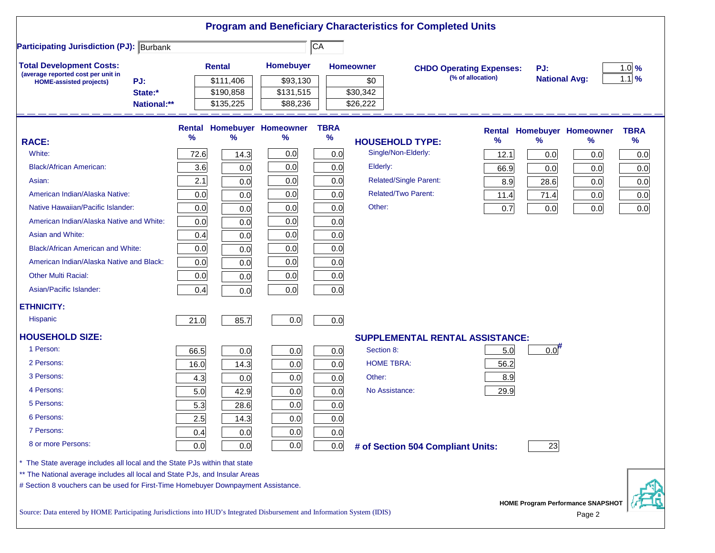|                                                                                                                           |             |      |               |                                   |                 |                  | <b>Program and Beneficiary Characteristics for Completed Units</b> |                   |                      |                                   |             |
|---------------------------------------------------------------------------------------------------------------------------|-------------|------|---------------|-----------------------------------|-----------------|------------------|--------------------------------------------------------------------|-------------------|----------------------|-----------------------------------|-------------|
| <b>Participating Jurisdiction (PJ): Burbank</b>                                                                           |             |      |               |                                   | $\overline{CA}$ |                  |                                                                    |                   |                      |                                   |             |
| <b>Total Development Costs:</b>                                                                                           |             |      | <b>Rental</b> | Homebuyer                         |                 | <b>Homeowner</b> | <b>CHDO Operating Expenses:</b>                                    |                   | PJ:                  |                                   | $1.0\%$     |
| (average reported cost per unit in<br>PJ:<br><b>HOME-assisted projects)</b>                                               |             |      | \$111,406     | \$93,130                          |                 | \$0              |                                                                    | (% of allocation) | <b>National Avg:</b> |                                   | $1.1$ %     |
|                                                                                                                           | State:*     |      | \$190,858     | \$131,515                         |                 | \$30,342         |                                                                    |                   |                      |                                   |             |
|                                                                                                                           | National:** |      | \$135,225     | \$88,236                          |                 | \$26,222         |                                                                    |                   |                      |                                   |             |
|                                                                                                                           |             |      |               | <b>Rental Homebuyer Homeowner</b> | <b>TBRA</b>     |                  |                                                                    |                   |                      | <b>Rental Homebuyer Homeowner</b> | <b>TBRA</b> |
| <b>RACE:</b>                                                                                                              |             | %    | %             | $\%$                              | $\%$            |                  | <b>HOUSEHOLD TYPE:</b>                                             | %                 | $\frac{9}{6}$        | %                                 | $\%$        |
| White:                                                                                                                    |             | 72.6 | 14.3          | 0.0                               | 0.0             |                  | Single/Non-Elderly:                                                | 12.1              | 0.0                  | 0.0                               | 0.0         |
| <b>Black/African American:</b>                                                                                            |             | 3.6  | 0.0           | 0.0                               | 0.0             | Elderly:         |                                                                    | 66.9              | 0.0                  | 0.0                               | 0.0         |
| Asian:                                                                                                                    |             | 2.1  | 0.0           | 0.0                               | 0.0             |                  | Related/Single Parent:                                             | 8.9               | 28.6                 | 0.0                               | 0.0         |
| American Indian/Alaska Native:                                                                                            |             | 0.0  | 0.0           | 0.0                               | 0.0             |                  | <b>Related/Two Parent:</b>                                         | 11.4              | 71.4                 | 0.0                               | 0.0         |
| Native Hawaiian/Pacific Islander:                                                                                         |             | 0.0  | 0.0           | 0.0                               | 0.0             | Other:           |                                                                    | 0.7               | 0.0                  | 0.0                               | 0.0         |
| American Indian/Alaska Native and White:                                                                                  |             | 0.0  | 0.0           | 0.0                               | 0.0             |                  |                                                                    |                   |                      |                                   |             |
| Asian and White:                                                                                                          |             | 0.4  | 0.0           | 0.0                               | 0.0             |                  |                                                                    |                   |                      |                                   |             |
| <b>Black/African American and White:</b>                                                                                  |             | 0.0  | 0.0           | 0.0                               | 0.0             |                  |                                                                    |                   |                      |                                   |             |
| American Indian/Alaska Native and Black:                                                                                  |             | 0.0  | 0.0           | 0.0                               | 0.0             |                  |                                                                    |                   |                      |                                   |             |
| <b>Other Multi Racial:</b>                                                                                                |             | 0.0  | 0.0           | 0.0                               | 0.0             |                  |                                                                    |                   |                      |                                   |             |
| Asian/Pacific Islander:                                                                                                   |             | 0.4  | 0.0           | 0.0                               | 0.0             |                  |                                                                    |                   |                      |                                   |             |
| <b>ETHNICITY:</b>                                                                                                         |             |      |               |                                   |                 |                  |                                                                    |                   |                      |                                   |             |
| <b>Hispanic</b>                                                                                                           |             | 21.0 | 85.7          | 0.0                               | 0.0             |                  |                                                                    |                   |                      |                                   |             |
| <b>HOUSEHOLD SIZE:</b>                                                                                                    |             |      |               |                                   |                 |                  | <b>SUPPLEMENTAL RENTAL ASSISTANCE:</b>                             |                   |                      |                                   |             |
| 1 Person:                                                                                                                 |             | 66.5 | 0.0           | 0.0                               | 0.0             | Section 8:       |                                                                    | 5.0               | $0.0$ <sup>#</sup>   |                                   |             |
| 2 Persons:                                                                                                                |             | 16.0 | 14.3          | 0.0                               | 0.0             |                  | <b>HOME TBRA:</b>                                                  | 56.2              |                      |                                   |             |
| 3 Persons:                                                                                                                |             | 4.3  | 0.0           | 0.0                               | 0.0             | Other:           |                                                                    | 8.9               |                      |                                   |             |
| 4 Persons:                                                                                                                |             | 5.0  | 42.9          | 0.0                               | 0.0             |                  | No Assistance:                                                     | 29.9              |                      |                                   |             |
| 5 Persons:                                                                                                                |             | 5.3  | 28.6          | 0.0                               | 0.0             |                  |                                                                    |                   |                      |                                   |             |
| 6 Persons:                                                                                                                |             | 2.5  | 14.3          | 0.0                               | 0.0             |                  |                                                                    |                   |                      |                                   |             |
| 7 Persons:                                                                                                                |             | 0.4  | 0.0           | 0.0                               | 0.0             |                  |                                                                    |                   |                      |                                   |             |
| 8 or more Persons:                                                                                                        |             | 0.0  | 0.0           | 0.0                               | 0.0             |                  | # of Section 504 Compliant Units:                                  |                   | 23                   |                                   |             |
| * The State average includes all local and the State PJs within that state                                                |             |      |               |                                   |                 |                  |                                                                    |                   |                      |                                   |             |
| ** The National average includes all local and State PJs, and Insular Areas                                               |             |      |               |                                   |                 |                  |                                                                    |                   |                      |                                   |             |
| # Section 8 vouchers can be used for First-Time Homebuyer Downpayment Assistance.                                         |             |      |               |                                   |                 |                  |                                                                    |                   |                      |                                   |             |
| Source: Data entered by HOME Participating Jurisdictions into HUD's Integrated Disbursement and Information System (IDIS) |             |      |               |                                   |                 |                  |                                                                    |                   |                      | HOME Program Performance SNAPSHOT |             |
|                                                                                                                           |             |      |               |                                   |                 |                  |                                                                    |                   |                      | Page 2                            |             |